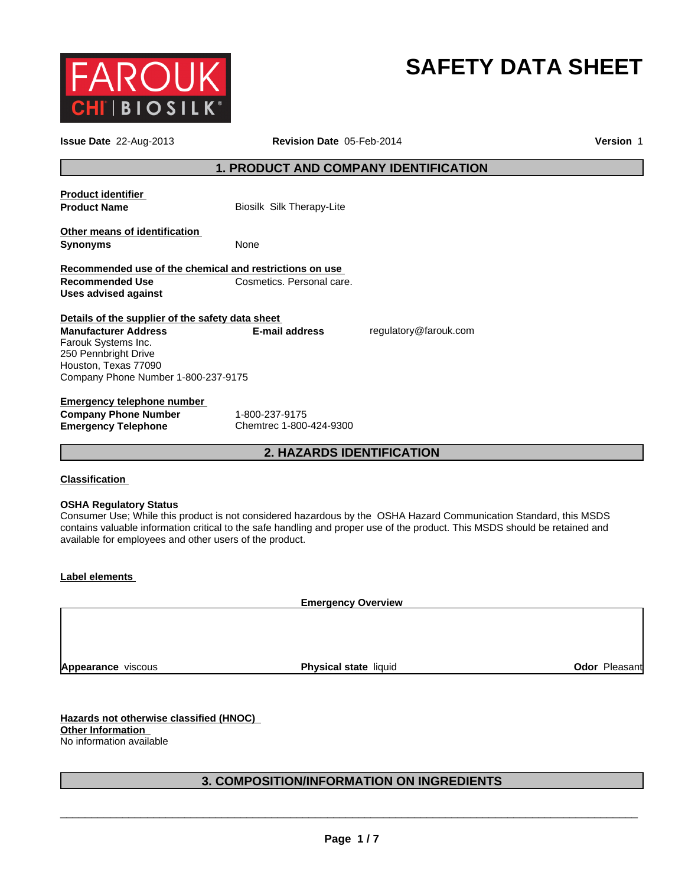

## **SAFETY DATA SHEET**

| Issue Date 22-Aug-2013                                                                                                                                                                        | Revision Date 05-Feb-2014                 |                                                                                                                                                                                                                                                  | Version 1 |
|-----------------------------------------------------------------------------------------------------------------------------------------------------------------------------------------------|-------------------------------------------|--------------------------------------------------------------------------------------------------------------------------------------------------------------------------------------------------------------------------------------------------|-----------|
|                                                                                                                                                                                               | 1. PRODUCT AND COMPANY IDENTIFICATION     |                                                                                                                                                                                                                                                  |           |
| <b>Product identifier</b><br><b>Product Name</b>                                                                                                                                              | Biosilk Silk Therapy-Lite                 |                                                                                                                                                                                                                                                  |           |
| Other means of identification<br><b>Synonyms</b>                                                                                                                                              | None                                      |                                                                                                                                                                                                                                                  |           |
| Recommended use of the chemical and restrictions on use<br><b>Recommended Use</b><br><b>Uses advised against</b>                                                                              | Cosmetics. Personal care.                 |                                                                                                                                                                                                                                                  |           |
| Details of the supplier of the safety data sheet<br><b>Manufacturer Address</b><br>Farouk Systems Inc.<br>250 Pennbright Drive<br>Houston, Texas 77090<br>Company Phone Number 1-800-237-9175 | <b>E-mail address</b>                     | regulatory@farouk.com                                                                                                                                                                                                                            |           |
| <b>Emergency telephone number</b><br><b>Company Phone Number</b><br><b>Emergency Telephone</b>                                                                                                | 1-800-237-9175<br>Chemtrec 1-800-424-9300 |                                                                                                                                                                                                                                                  |           |
|                                                                                                                                                                                               | <b>2. HAZARDS IDENTIFICATION</b>          |                                                                                                                                                                                                                                                  |           |
| <b>Classification</b><br><b>OSHA Regulatory Status</b><br>available for employees and other users of the product.                                                                             |                                           | Consumer Use; While this product is not considered hazardous by the OSHA Hazard Communication Standard, this MSDS<br>contains valuable information critical to the safe handling and proper use of the product. This MSDS should be retained and |           |
| <b>Label elements</b>                                                                                                                                                                         |                                           |                                                                                                                                                                                                                                                  |           |
|                                                                                                                                                                                               | <b>Emergency Overview</b>                 |                                                                                                                                                                                                                                                  |           |
|                                                                                                                                                                                               |                                           |                                                                                                                                                                                                                                                  |           |

**Appearance** viscous

**Physical state liquid Contract Contract Contract Pleasant** 

**Hazards not otherwise classified (HNOC) Other Information**  No information available

#### **3. COMPOSITION/INFORMATION ON INGREDIENTS**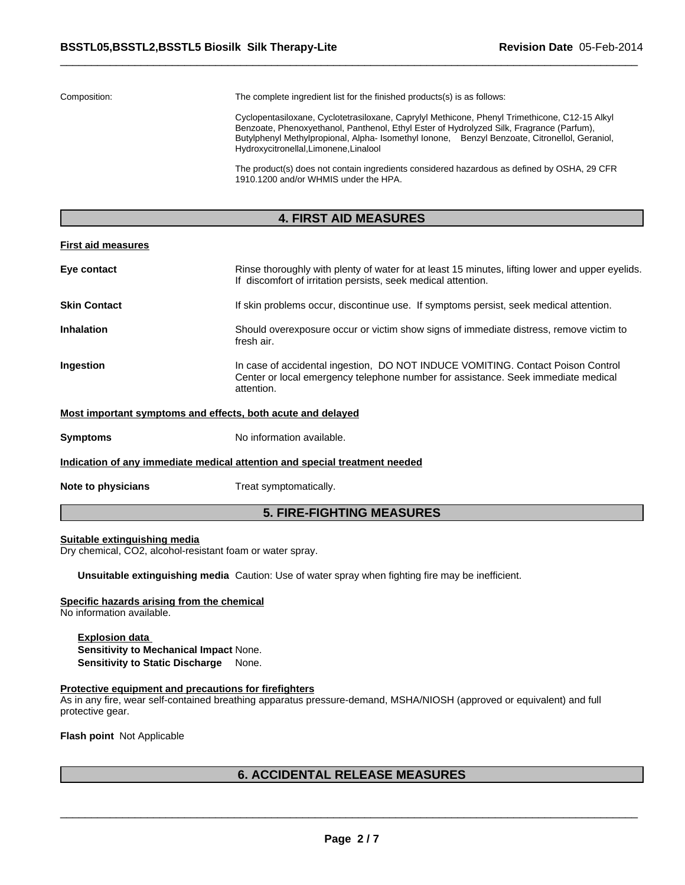Composition: The complete ingredient list for the finished products(s) is as follows:

Cyclopentasiloxane, Cyclotetrasiloxane, Caprylyl Methicone, Phenyl Trimethicone, C12-15 Alkyl Benzoate, Phenoxyethanol, Panthenol, Ethyl Ester of Hydrolyzed Silk, Fragrance (Parfum), Butylphenyl Methylpropional, Alpha- Isomethyl Ionone, Benzyl Benzoate, Citronellol, Geraniol, Hydroxycitronellal,Limonene,Linalool

The product(s) does not contain ingredients considered hazardous as defined by OSHA, 29 CFR 1910.1200 and/or WHMIS under the HPA.

#### **4. FIRST AID MEASURES**

#### **First aid measures**

| Eye contact                                                                | Rinse thoroughly with plenty of water for at least 15 minutes, lifting lower and upper eyelids.<br>If discomfort of irritation persists, seek medical attention.                   |  |  |  |
|----------------------------------------------------------------------------|------------------------------------------------------------------------------------------------------------------------------------------------------------------------------------|--|--|--|
| <b>Skin Contact</b>                                                        | If skin problems occur, discontinue use. If symptoms persist, seek medical attention.                                                                                              |  |  |  |
| <b>Inhalation</b>                                                          | Should overexposure occur or victim show signs of immediate distress, remove victim to<br>fresh air.                                                                               |  |  |  |
| Ingestion                                                                  | In case of accidental ingestion, DO NOT INDUCE VOMITING. Contact Poison Control<br>Center or local emergency telephone number for assistance. Seek immediate medical<br>attention. |  |  |  |
| Most important symptoms and effects, both acute and delayed                |                                                                                                                                                                                    |  |  |  |
| <b>Symptoms</b>                                                            | No information available.                                                                                                                                                          |  |  |  |
| Indication of any immediate medical attention and special treatment needed |                                                                                                                                                                                    |  |  |  |
| Note to physicians                                                         | Treat symptomatically.                                                                                                                                                             |  |  |  |

#### **5. FIRE-FIGHTING MEASURES**

#### **Suitable extinguishing media**

Dry chemical, CO2, alcohol-resistant foam or water spray.

**Unsuitable extinguishing media** Caution: Use of water spray when fighting fire may be inefficient.

#### **Specific hazards arising from the chemical**

No information available.

**Explosion data Sensitivity to Mechanical Impact** None. **Sensitivity to Static Discharge** None.

#### **Protective equipment and precautions for firefighters**

As in any fire, wear self-contained breathing apparatus pressure-demand, MSHA/NIOSH (approved or equivalent) and full protective gear.

**Flash point** Not Applicable

#### **6. ACCIDENTAL RELEASE MEASURES**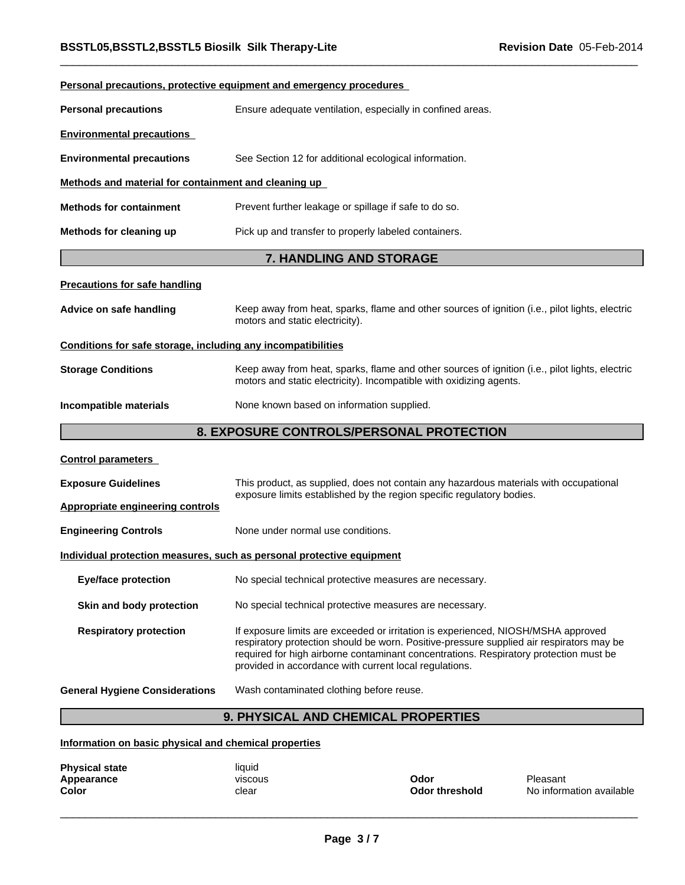|                                                              | Personal precautions, protective equipment and emergency procedures                                                                                                                                                                                                                                                              |  |  |  |
|--------------------------------------------------------------|----------------------------------------------------------------------------------------------------------------------------------------------------------------------------------------------------------------------------------------------------------------------------------------------------------------------------------|--|--|--|
| <b>Personal precautions</b>                                  | Ensure adequate ventilation, especially in confined areas.                                                                                                                                                                                                                                                                       |  |  |  |
| <b>Environmental precautions</b>                             |                                                                                                                                                                                                                                                                                                                                  |  |  |  |
| <b>Environmental precautions</b>                             | See Section 12 for additional ecological information.                                                                                                                                                                                                                                                                            |  |  |  |
| Methods and material for containment and cleaning up         |                                                                                                                                                                                                                                                                                                                                  |  |  |  |
| <b>Methods for containment</b>                               | Prevent further leakage or spillage if safe to do so.                                                                                                                                                                                                                                                                            |  |  |  |
| Methods for cleaning up                                      | Pick up and transfer to properly labeled containers.                                                                                                                                                                                                                                                                             |  |  |  |
|                                                              | <b>7. HANDLING AND STORAGE</b>                                                                                                                                                                                                                                                                                                   |  |  |  |
| <b>Precautions for safe handling</b>                         |                                                                                                                                                                                                                                                                                                                                  |  |  |  |
| Advice on safe handling                                      | Keep away from heat, sparks, flame and other sources of ignition (i.e., pilot lights, electric<br>motors and static electricity).                                                                                                                                                                                                |  |  |  |
| Conditions for safe storage, including any incompatibilities |                                                                                                                                                                                                                                                                                                                                  |  |  |  |
| <b>Storage Conditions</b>                                    | Keep away from heat, sparks, flame and other sources of ignition (i.e., pilot lights, electric<br>motors and static electricity). Incompatible with oxidizing agents.                                                                                                                                                            |  |  |  |
| Incompatible materials                                       | None known based on information supplied.                                                                                                                                                                                                                                                                                        |  |  |  |
|                                                              | 8. EXPOSURE CONTROLS/PERSONAL PROTECTION                                                                                                                                                                                                                                                                                         |  |  |  |
| <b>Control parameters</b>                                    |                                                                                                                                                                                                                                                                                                                                  |  |  |  |
| <b>Exposure Guidelines</b>                                   | This product, as supplied, does not contain any hazardous materials with occupational                                                                                                                                                                                                                                            |  |  |  |
| <b>Appropriate engineering controls</b>                      | exposure limits established by the region specific regulatory bodies.                                                                                                                                                                                                                                                            |  |  |  |
| <b>Engineering Controls</b>                                  | None under normal use conditions.                                                                                                                                                                                                                                                                                                |  |  |  |
|                                                              | Individual protection measures, such as personal protective equipment                                                                                                                                                                                                                                                            |  |  |  |
| <b>Eye/face protection</b>                                   | No special technical protective measures are necessary.                                                                                                                                                                                                                                                                          |  |  |  |
| Skin and body protection                                     | No special technical protective measures are necessary.                                                                                                                                                                                                                                                                          |  |  |  |
| <b>Respiratory protection</b>                                | If exposure limits are exceeded or irritation is experienced, NIOSH/MSHA approved<br>respiratory protection should be worn. Positive-pressure supplied air respirators may be<br>required for high airborne contaminant concentrations. Respiratory protection must be<br>provided in accordance with current local regulations. |  |  |  |
| <b>General Hygiene Considerations</b>                        | Wash contaminated clothing before reuse.                                                                                                                                                                                                                                                                                         |  |  |  |
|                                                              | 9. PHYSICAL AND CHEMICAL PROPERTIES                                                                                                                                                                                                                                                                                              |  |  |  |

## **Information on basic physical and chemical properties**

| <b>Physical state</b><br>Appearance<br><b>Color</b> | liquid<br>viscous<br>clear | Odor<br>Odor threshold | Pleasant<br>No information available |
|-----------------------------------------------------|----------------------------|------------------------|--------------------------------------|
|                                                     |                            |                        |                                      |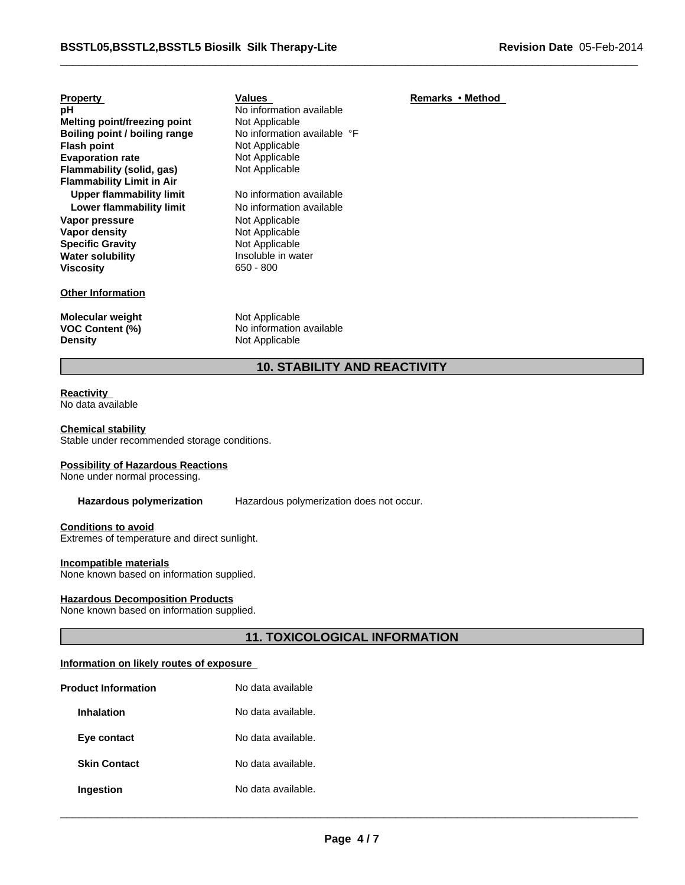| <b>Property</b>                                | Values                                                       | Remarks • Method |
|------------------------------------------------|--------------------------------------------------------------|------------------|
| рH                                             | No information available                                     |                  |
| Melting point/freezing point                   | Not Applicable                                               |                  |
| Boiling point / boiling range                  | No information available °F                                  |                  |
| Flash point                                    | Not Applicable                                               |                  |
| <b>Evaporation rate</b>                        | Not Applicable                                               |                  |
| Flammability (solid, gas)                      | Not Applicable                                               |                  |
| <b>Flammability Limit in Air</b>               |                                                              |                  |
| <b>Upper flammability limit</b>                | No information available                                     |                  |
| Lower flammability limit                       | No information available                                     |                  |
| Vapor pressure                                 | Not Applicable                                               |                  |
| Vapor density                                  | Not Applicable                                               |                  |
| Specific Gravity                               | Not Applicable                                               |                  |
| Water solubility                               | Insoluble in water                                           |                  |
| Viscositv                                      | $650 - 800$                                                  |                  |
| <b>Other Information</b>                       |                                                              |                  |
| Molecular weight<br>VOC Content (%)<br>Density | Not Applicable<br>No information available<br>Not Applicable |                  |
|                                                |                                                              |                  |

## **10. STABILITY AND REACTIVITY**

#### **Reactivity**  No data available

#### **Chemical stability**

Stable under recommended storage conditions.

#### **Possibility of Hazardous Reactions**

None under normal processing.

Hazardous polymerization Hazardous polymerization does not occur.

#### **Conditions to avoid**

Extremes of temperature and direct sunlight.

#### **Incompatible materials**

None known based on information supplied.

#### **Hazardous Decomposition Products**

None known based on information supplied.

#### **11. TOXICOLOGICAL INFORMATION**

#### **Information on likely routes of exposure**

| <b>Product Information</b> | No data available  |  |
|----------------------------|--------------------|--|
| <b>Inhalation</b>          | No data available. |  |
| Eye contact                | No data available. |  |
| <b>Skin Contact</b>        | No data available. |  |
| Ingestion                  | No data available. |  |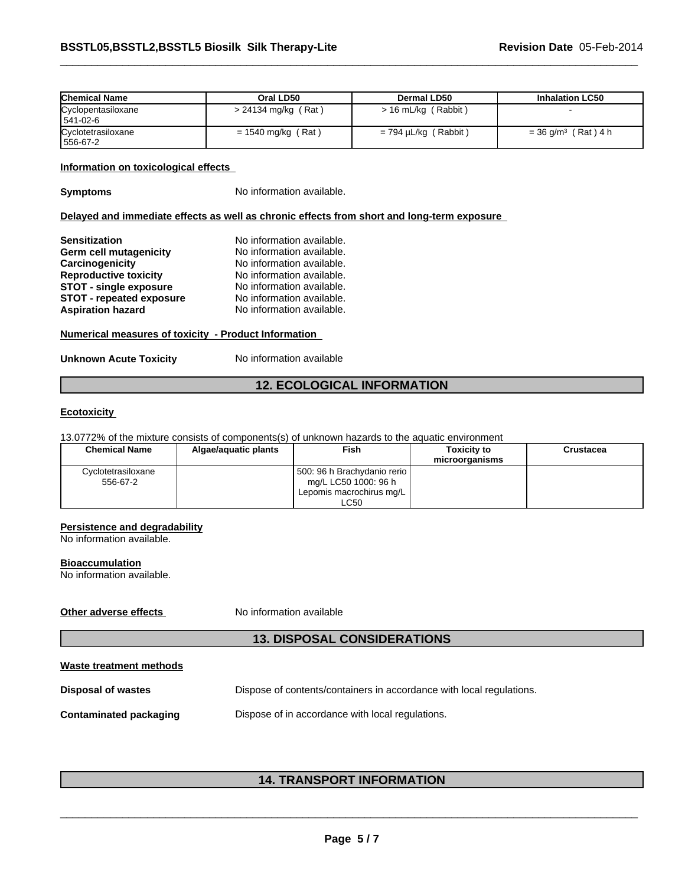| <b>Chemical Name</b>           | Oral LD50             | Dermal LD50                    | <b>Inhalation LC50</b>            |
|--------------------------------|-----------------------|--------------------------------|-----------------------------------|
| Cyclopentasiloxane<br>541-02-6 | $> 24134$ mg/kg (Rat) | $> 16$ mL/kg (Rabbit)          |                                   |
| Cyclotetrasiloxane<br>556-67-2 | $= 1540$ mg/kg (Rat)  | (Rabbit)<br>$= 794 \mu L/kg$ ( | $= 36$ g/m <sup>3</sup> (Rat) 4 h |

#### **Information on toxicological effects**

**Symptoms** No information available.

#### **Delayed and immediate effects as well as chronic effects from short and long-term exposure**

| <b>Sensitization</b>            | No information available. |
|---------------------------------|---------------------------|
| Germ cell mutagenicity          | No information available. |
| Carcinogenicity                 | No information available. |
| <b>Reproductive toxicity</b>    | No information available. |
| <b>STOT - single exposure</b>   | No information available. |
| <b>STOT - repeated exposure</b> | No information available. |
| <b>Aspiration hazard</b>        | No information available. |

#### **Numerical measures of toxicity - Product Information**

**Unknown Acute Toxicity** No information available

#### **12. ECOLOGICAL INFORMATION**

#### **Ecotoxicity**

13.0772% of the mixture consists of components(s) of unknown hazards to the aquatic environment

| <b>Chemical Name</b> | Algae/aguatic plants | Fish                        | Toxicitv to<br>microorganisms | <b>Crustacea</b> |
|----------------------|----------------------|-----------------------------|-------------------------------|------------------|
| Cvclotetrasiloxane   |                      | 500: 96 h Brachydanio rerio |                               |                  |
| 556-67-2             |                      | mg/L LC50 1000: 96 h        |                               |                  |
|                      |                      | Lepomis macrochirus mg/L    |                               |                  |
|                      |                      | LC50                        |                               |                  |

#### **Persistence and degradability**

No information available.

#### **Bioaccumulation**

No information available.

**Other adverse effects** No information available

#### **13. DISPOSAL CONSIDERATIONS**

| Waste treatment methods |                                                                      |  |
|-------------------------|----------------------------------------------------------------------|--|
| Disposal of wastes      | Dispose of contents/containers in accordance with local regulations. |  |
| Contaminated packaging  | Dispose of in accordance with local regulations.                     |  |

# \_\_\_\_\_\_\_\_\_\_\_\_\_\_\_\_\_\_\_\_\_\_\_\_\_\_\_\_\_\_\_\_\_\_\_\_\_\_\_\_\_\_\_\_\_\_\_\_\_\_\_\_\_\_\_\_\_\_\_\_\_\_\_\_\_\_\_\_\_\_\_\_\_\_\_\_\_\_\_\_\_\_\_\_\_\_\_\_\_\_\_\_\_ **14. TRANSPORT INFORMATION**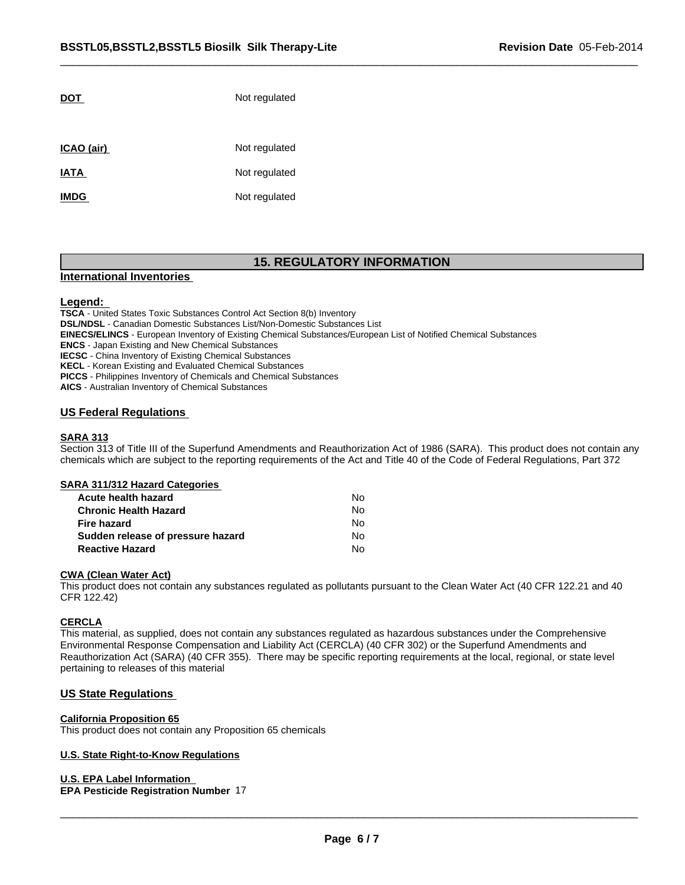| Not regulated |
|---------------|
| Not regulated |
| Not regulated |
| Not regulated |
|               |

#### **15. REGULATORY INFORMATION**

#### **International Inventories**

#### **Legend:**

**TSCA** - United States Toxic Substances Control Act Section 8(b) Inventory **DSL/NDSL** - Canadian Domestic Substances List/Non-Domestic Substances List **EINECS/ELINCS** - European Inventory of Existing Chemical Substances/European List of Notified Chemical Substances **ENCS** - Japan Existing and New Chemical Substances **IECSC** - China Inventory of Existing Chemical Substances **KECL** - Korean Existing and Evaluated Chemical Substances **PICCS** - Philippines Inventory of Chemicals and Chemical Substances

**AICS** - Australian Inventory of Chemical Substances

#### **US Federal Regulations**

#### **SARA 313**

Section 313 of Title III of the Superfund Amendments and Reauthorization Act of 1986 (SARA). This product does not contain any chemicals which are subject to the reporting requirements of the Act and Title 40 of the Code of Federal Regulations, Part 372

#### **SARA 311/312 Hazard Categories**

| Acute health hazard               | N٥ |
|-----------------------------------|----|
| <b>Chronic Health Hazard</b>      | N٥ |
| <b>Fire hazard</b>                | N٥ |
| Sudden release of pressure hazard | No |
| <b>Reactive Hazard</b>            | No |

#### **CWA (Clean Water Act)**

This product does not contain any substances regulated as pollutants pursuant to the Clean Water Act (40 CFR 122.21 and 40 CFR 122.42)

#### **CERCLA**

This material, as supplied, does not contain any substances regulated as hazardous substances under the Comprehensive Environmental Response Compensation and Liability Act (CERCLA) (40 CFR 302) or the Superfund Amendments and Reauthorization Act (SARA) (40 CFR 355). There may be specific reporting requirements at the local, regional, or state level pertaining to releases of this material

#### **US State Regulations**

#### **California Proposition 65**

This product does not contain any Proposition 65 chemicals

#### **U.S. State Right-to-Know Regulations**

**U.S. EPA Label Information** 

#### **EPA Pesticide Registration Number** 17